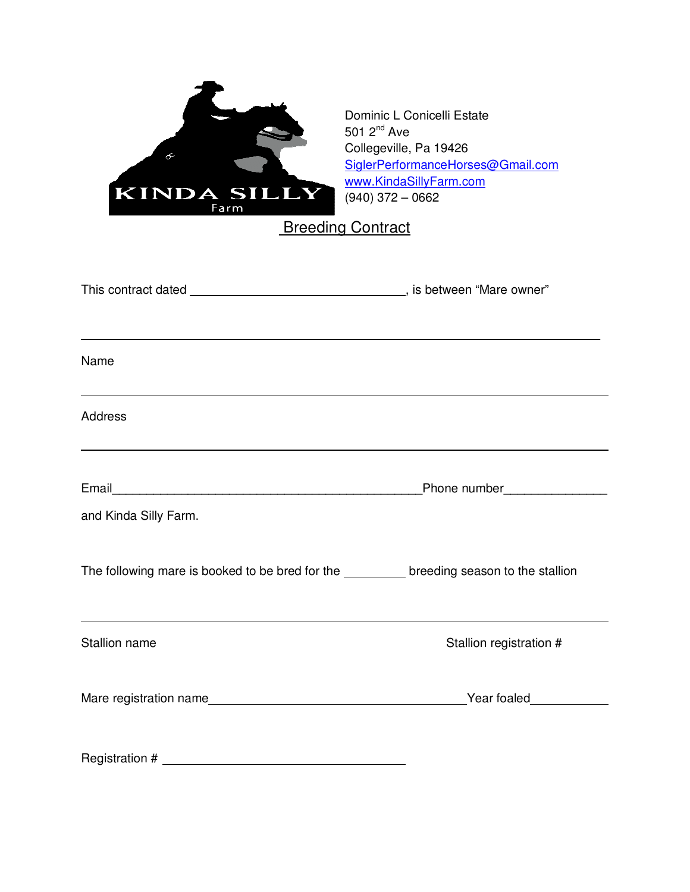

Dominic L Conicelli Estate 501 2nd Ave Collegeville, Pa 19426 SiglerPerformanceHorses@Gmail.com www.KindaSillyFarm.com  $(940)$  372 – 0662

**Breeding Contract** 

| Name                                                                                       |                         |
|--------------------------------------------------------------------------------------------|-------------------------|
| <b>Address</b>                                                                             |                         |
|                                                                                            |                         |
| and Kinda Silly Farm.                                                                      |                         |
| The following mare is booked to be bred for the __________ breeding season to the stallion |                         |
| <b>Stallion name</b>                                                                       | Stallion registration # |
|                                                                                            |                         |
| Registration #                                                                             |                         |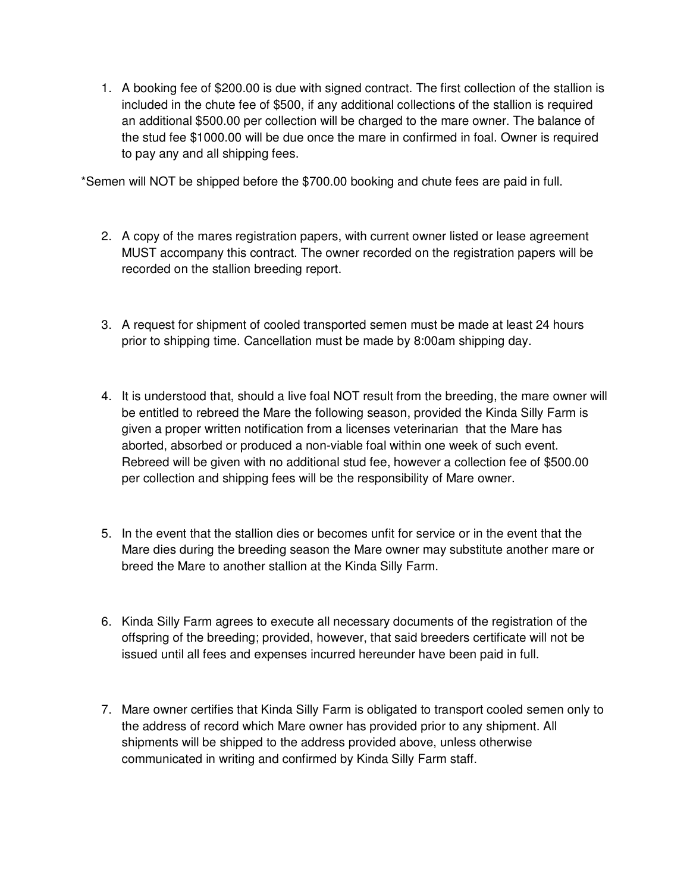1. A booking fee of \$200.00 is due with signed contract. The first collection of the stallion is included in the chute fee of \$500, if any additional collections of the stallion is required an additional \$500.00 per collection will be charged to the mare owner. The balance of the stud fee \$1000.00 will be due once the mare in confirmed in foal. Owner is required to pay any and all shipping fees.

\*Semen will NOT be shipped before the \$700.00 booking and chute fees are paid in full.

- 2. A copy of the mares registration papers, with current owner listed or lease agreement MUST accompany this contract. The owner recorded on the registration papers will be recorded on the stallion breeding report.
- 3. A request for shipment of cooled transported semen must be made at least 24 hours prior to shipping time. Cancellation must be made by 8:00am shipping day.
- 4. It is understood that, should a live foal NOT result from the breeding, the mare owner will be entitled to rebreed the Mare the following season, provided the Kinda Silly Farm is given a proper written notification from a licenses veterinarian that the Mare has aborted, absorbed or produced a non-viable foal within one week of such event. Rebreed will be given with no additional stud fee, however a collection fee of \$500.00 per collection and shipping fees will be the responsibility of Mare owner.
- 5. In the event that the stallion dies or becomes unfit for service or in the event that the Mare dies during the breeding season the Mare owner may substitute another mare or breed the Mare to another stallion at the Kinda Silly Farm.
- 6. Kinda Silly Farm agrees to execute all necessary documents of the registration of the offspring of the breeding; provided, however, that said breeders certificate will not be issued until all fees and expenses incurred hereunder have been paid in full.
- 7. Mare owner certifies that Kinda Silly Farm is obligated to transport cooled semen only to the address of record which Mare owner has provided prior to any shipment. All shipments will be shipped to the address provided above, unless otherwise communicated in writing and confirmed by Kinda Silly Farm staff.